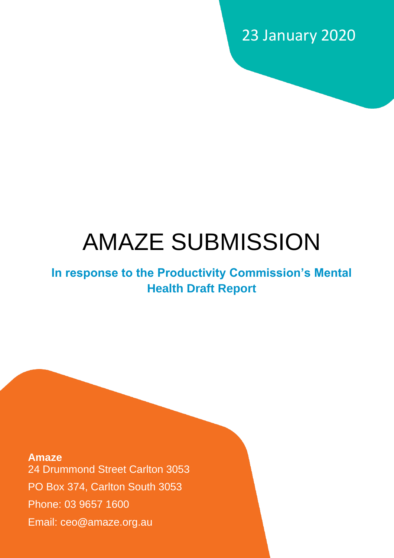23 January 2020

# AMAZE SUBMISSION

# **In response to the Productivity Commission's Mental Health Draft Report**

**Amaze** 24 Drummond Street Carlton 3053 PO Box 374, Carlton South 3053 Phone: 03 9657 1600 Email: ceo**@**amaze.org.au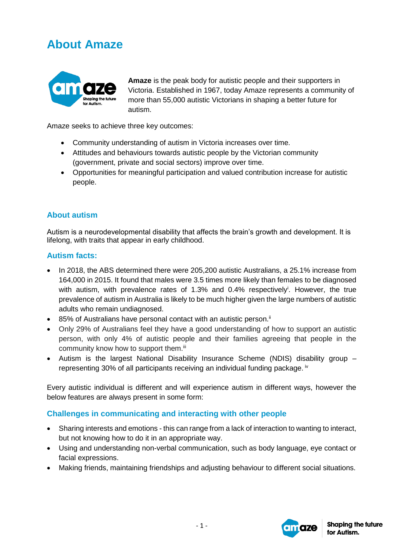# **About Amaze**



**Amaze** is the peak body for autistic people and their supporters in Victoria. Established in 1967, today Amaze represents a community of more than 55,000 autistic Victorians in shaping a better future for autism.

Amaze seeks to achieve three key outcomes:

- Community understanding of autism in Victoria increases over time.
- Attitudes and behaviours towards autistic people by the Victorian community (government, private and social sectors) improve over time.
- Opportunities for meaningful participation and valued contribution increase for autistic people.

## **About autism**

Autism is a neurodevelopmental disability that affects the brain's growth and development. It is lifelong, with traits that appear in early childhood.

## **Autism facts:**

- In 2018, the ABS determined there were 205,200 autistic Australians, a 25.1% increase from 164,000 in 2015. It found that males were 3.5 times more likely than females to be diagnosed with autism, with prevalence rates of 1.3% and 0.4% respectively<sup>i</sup>. However, the true prevalence of autism in Australia is likely to be much higher given the large numbers of autistic adults who remain undiagnosed.
- $\bullet$  85% of Australians have personal contact with an autistic person.<sup>ii</sup>
- Only 29% of Australians feel they have a good understanding of how to support an autistic person, with only 4% of autistic people and their families agreeing that people in the community know how to support them.<sup>iii</sup>
- Autism is the largest National Disability Insurance Scheme (NDIS) disability group representing 30% of all participants receiving an individual funding package. <sup>iv</sup>

Every autistic individual is different and will experience autism in different ways, however the below features are always present in some form:

## **Challenges in communicating and interacting with other people**

- Sharing interests and emotions this can range from a lack of interaction to wanting to interact, but not knowing how to do it in an appropriate way.
- Using and understanding non-verbal communication, such as body language, eye contact or facial expressions.
- Making friends, maintaining friendships and adjusting behaviour to different social situations.

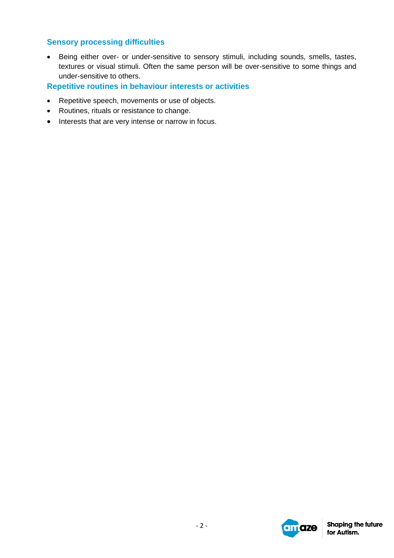## **Sensory processing difficulties**

 Being either over- or under-sensitive to sensory stimuli, including sounds, smells, tastes, textures or visual stimuli. Often the same person will be over-sensitive to some things and under-sensitive to others.

## **Repetitive routines in behaviour interests or activities**

- Repetitive speech, movements or use of objects.
- Routines, rituals or resistance to change.
- Interests that are very intense or narrow in focus.

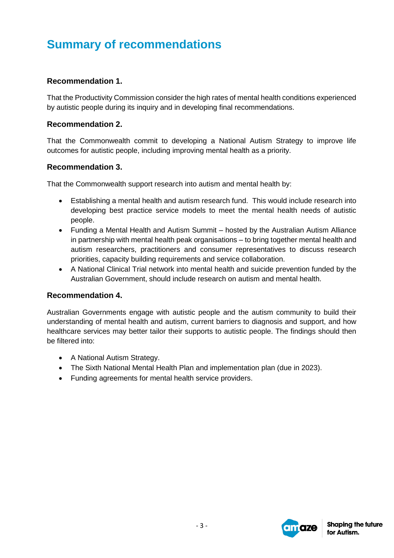# **Summary of recommendations**

## **Recommendation 1.**

That the Productivity Commission consider the high rates of mental health conditions experienced by autistic people during its inquiry and in developing final recommendations.

#### **Recommendation 2.**

That the Commonwealth commit to developing a National Autism Strategy to improve life outcomes for autistic people, including improving mental health as a priority.

## **Recommendation 3.**

That the Commonwealth support research into autism and mental health by:

- Establishing a mental health and autism research fund. This would include research into developing best practice service models to meet the mental health needs of autistic people.
- Funding a Mental Health and Autism Summit hosted by the Australian Autism Alliance in partnership with mental health peak organisations – to bring together mental health and autism researchers, practitioners and consumer representatives to discuss research priorities, capacity building requirements and service collaboration.
- A National Clinical Trial network into mental health and suicide prevention funded by the Australian Government, should include research on autism and mental health.

#### **Recommendation 4.**

Australian Governments engage with autistic people and the autism community to build their understanding of mental health and autism, current barriers to diagnosis and support, and how healthcare services may better tailor their supports to autistic people. The findings should then be filtered into:

- A National Autism Strategy.
- The Sixth National Mental Health Plan and implementation plan (due in 2023).
- Funding agreements for mental health service providers.

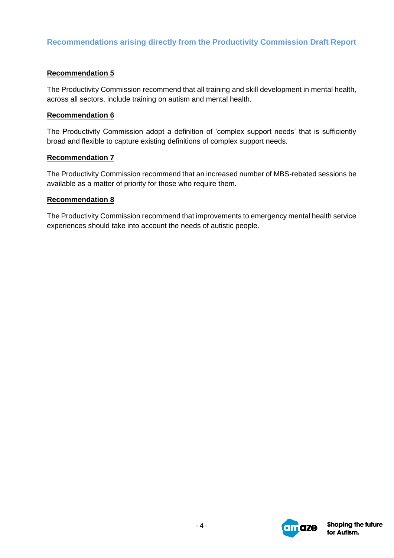## **Recommendations arising directly from the Productivity Commission Draft Report**

#### **Recommendation 5**

The Productivity Commission recommend that all training and skill development in mental health, across all sectors, include training on autism and mental health.

#### **Recommendation 6**

The Productivity Commission adopt a definition of 'complex support needs' that is sufficiently broad and flexible to capture existing definitions of complex support needs.

#### **Recommendation 7**

The Productivity Commission recommend that an increased number of MBS-rebated sessions be available as a matter of priority for those who require them.

#### **Recommendation 8**

The Productivity Commission recommend that improvements to emergency mental health service experiences should take into account the needs of autistic people.

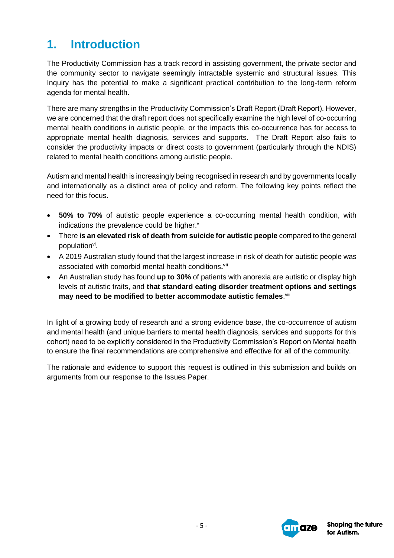# **1. Introduction**

The Productivity Commission has a track record in assisting government, the private sector and the community sector to navigate seemingly intractable systemic and structural issues. This Inquiry has the potential to make a significant practical contribution to the long-term reform agenda for mental health.

There are many strengths in the Productivity Commission's Draft Report (Draft Report). However, we are concerned that the draft report does not specifically examine the high level of co-occurring mental health conditions in autistic people, or the impacts this co-occurrence has for access to appropriate mental health diagnosis, services and supports. The Draft Report also fails to consider the productivity impacts or direct costs to government (particularly through the NDIS) related to mental health conditions among autistic people.

Autism and mental health is increasingly being recognised in research and by governments locally and internationally as a distinct area of policy and reform. The following key points reflect the need for this focus.

- **50% to 70%** of autistic people experience a co-occurring mental health condition, with indications the prevalence could be higher.<sup>v</sup>
- There **is an elevated risk of death from suicide for autistic people** compared to the general population<sup>vi</sup>.
- A 2019 Australian study found that the largest increase in risk of death for autistic people was associated with comorbid mental health conditions**. vii**
- An Australian study has found **up to 30%** of patients with anorexia are autistic or display high levels of autistic traits, and **that standard eating disorder treatment options and settings**  may need to be modified to better accommodate autistic females. Vill

In light of a growing body of research and a strong evidence base, the co-occurrence of autism and mental health (and unique barriers to mental health diagnosis, services and supports for this cohort) need to be explicitly considered in the Productivity Commission's Report on Mental health to ensure the final recommendations are comprehensive and effective for all of the community.

The rationale and evidence to support this request is outlined in this submission and builds on arguments from our response to the Issues Paper.

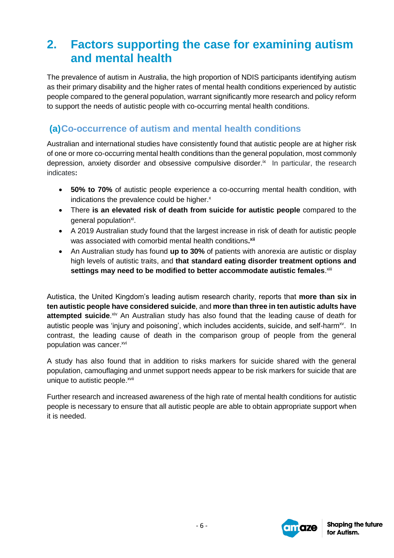# **2. Factors supporting the case for examining autism and mental health**

The prevalence of autism in Australia, the high proportion of NDIS participants identifying autism as their primary disability and the higher rates of mental health conditions experienced by autistic people compared to the general population, warrant significantly more research and policy reform to support the needs of autistic people with co-occurring mental health conditions.

## **(a)Co-occurrence of autism and mental health conditions**

Australian and international studies have consistently found that autistic people are at higher risk of one or more co-occurring mental health conditions than the general population, most commonly depression, anxiety disorder and obsessive compulsive disorder.<sup>ix</sup> In particular, the research indicates**:**

- **50% to 70%** of autistic people experience a co-occurring mental health condition, with indications the prevalence could be higher.<sup>x</sup>
- There **is an elevated risk of death from suicide for autistic people** compared to the general population<sup>xi</sup>.
- A 2019 Australian study found that the largest increase in risk of death for autistic people was associated with comorbid mental health conditions**. xii**
- An Australian study has found **up to 30%** of patients with anorexia are autistic or display high levels of autistic traits, and **that standard eating disorder treatment options and**  settings may need to be modified to better accommodate autistic females. Xili

Autistica, the United Kingdom's leading autism research charity, reports that **more than six in ten autistic people have considered suicide**, and **more than three in ten autistic adults have**  attempted suicide.<sup>xiv</sup> An Australian study has also found that the leading cause of death for autistic people was 'injury and poisoning', which includes accidents, suicide, and self-harm<sup>xv</sup>. In contrast, the leading cause of death in the comparison group of people from the general population was cancer.xvi

A study has also found that in addition to risks markers for suicide shared with the general population, camouflaging and unmet support needs appear to be risk markers for suicide that are unique to autistic people.<sup>xvii</sup>

Further research and increased awareness of the high rate of mental health conditions for autistic people is necessary to ensure that all autistic people are able to obtain appropriate support when it is needed.

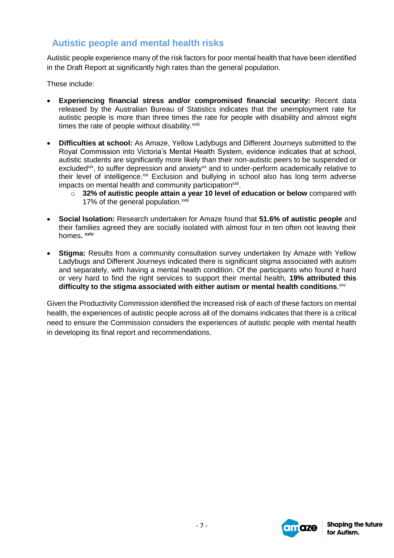## **Autistic people and mental health risks**

Autistic people experience many of the risk factors for poor mental health that have been identified in the Draft Report at significantly high rates than the general population.

These include:

- **Experiencing financial stress and/or compromised financial security:** Recent data released by the Australian Bureau of Statistics indicates that the unemployment rate for autistic people is more than three times the rate for people with disability and almost eight times the rate of people without disability.<sup>xviii</sup>
- **Difficulties at school:** As Amaze, Yellow Ladybugs and Different Journeys submitted to the Royal Commission into Victoria's Mental Health System, evidence indicates that at school, autistic students are significantly more likely than their non-autistic peers to be suspended or excluded<sup>xix</sup>, to suffer depression and anxiety<sup>xx</sup> and to under-perform academically relative to their level of intelligence.<sup>xxi</sup> Exclusion and bullying in school also has long term adverse impacts on mental health and community participation<sup>xxii</sup>.
	- o **32% of autistic people attain a year 10 level of education or below** compared with 17% of the general population.<sup>xxiii</sup>
- **Social Isolation:** Research undertaken for Amaze found that **51.6% of autistic people** and their families agreed they are socially isolated with almost four in ten often not leaving their homes**. xxiv**
- **Stigma:** Results from a community consultation survey undertaken by Amaze with Yellow Ladybugs and Different Journeys indicated there is significant stigma associated with autism and separately, with having a mental health condition. Of the participants who found it hard or very hard to find the right services to support their mental health, **19% attributed this**  difficulty to the stigma associated with either autism or mental health conditions.<sup>xxv</sup>

Given the Productivity Commission identified the increased risk of each of these factors on mental health, the experiences of autistic people across all of the domains indicates that there is a critical need to ensure the Commission considers the experiences of autistic people with mental health in developing its final report and recommendations.

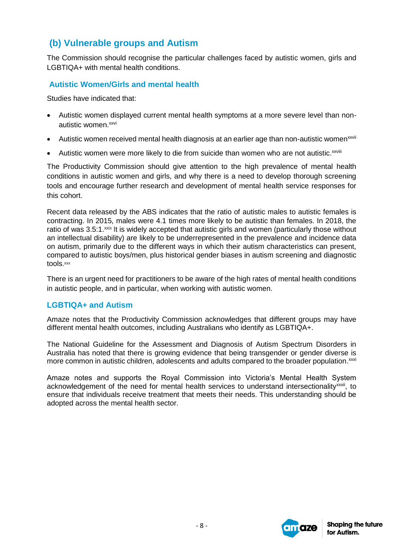## **(b) Vulnerable groups and Autism**

The Commission should recognise the particular challenges faced by autistic women, girls and LGBTIQA+ with mental health conditions.

## **Autistic Women/Girls and mental health**

Studies have indicated that:

- Autistic women displayed current mental health symptoms at a more severe level than nonautistic women.<sup>xxvi</sup>
- Autistic women received mental health diagnosis at an earlier age than non-autistic women<sup>xxvii</sup>
- Autistic women were more likely to die from suicide than women who are not autistic. xxviii

The Productivity Commission should give attention to the high prevalence of mental health conditions in autistic women and girls, and why there is a need to develop thorough screening tools and encourage further research and development of mental health service responses for this cohort.

Recent data released by the ABS indicates that the ratio of autistic males to autistic females is contracting. In 2015, males were 4.1 times more likely to be autistic than females. In 2018, the ratio of was 3.5:1.<sup>xxix</sup> It is widely accepted that autistic girls and women (particularly those without an intellectual disability) are likely to be underrepresented in the prevalence and incidence data on autism, primarily due to the different ways in which their autism characteristics can present, compared to autistic boys/men, plus historical gender biases in autism screening and diagnostic tools.<sup>xxx</sup>

There is an urgent need for practitioners to be aware of the high rates of mental health conditions in autistic people, and in particular, when working with autistic women.

## **LGBTIQA+ and Autism**

Amaze notes that the Productivity Commission acknowledges that different groups may have different mental health outcomes, including Australians who identify as LGBTIQA+.

The National Guideline for the Assessment and Diagnosis of Autism Spectrum Disorders in Australia has noted that there is growing evidence that being transgender or gender diverse is more common in autistic children, adolescents and adults compared to the broader population.<sup>xxxi</sup>

Amaze notes and supports the Royal Commission into Victoria's Mental Health System acknowledgement of the need for mental health services to understand intersectionality<sup>xxxii</sup>, to ensure that individuals receive treatment that meets their needs. This understanding should be adopted across the mental health sector.

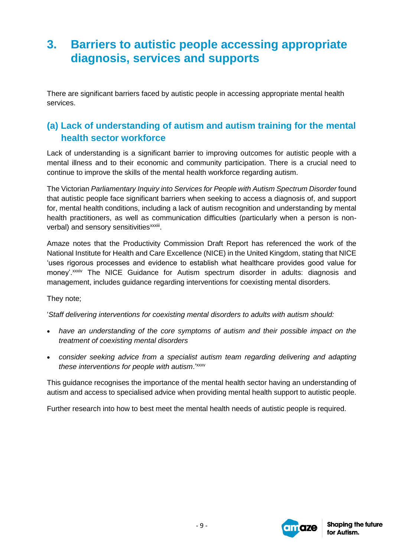# **3. Barriers to autistic people accessing appropriate diagnosis, services and supports**

There are significant barriers faced by autistic people in accessing appropriate mental health services.

## **(a) Lack of understanding of autism and autism training for the mental health sector workforce**

Lack of understanding is a significant barrier to improving outcomes for autistic people with a mental illness and to their economic and community participation. There is a crucial need to continue to improve the skills of the mental health workforce regarding autism.

The Victorian *Parliamentary Inquiry into Services for People with Autism Spectrum Disorder* found that autistic people face significant barriers when seeking to access a diagnosis of, and support for, mental health conditions, including a lack of autism recognition and understanding by mental health practitioners, as well as communication difficulties (particularly when a person is nonverbal) and sensory sensitivities<sup>xxxiii</sup>.

Amaze notes that the Productivity Commission Draft Report has referenced the work of the National Institute for Health and Care Excellence (NICE) in the United Kingdom, stating that NICE 'uses rigorous processes and evidence to establish what healthcare provides good value for money'.xxxiv The NICE Guidance for Autism spectrum disorder in adults: diagnosis and management, includes guidance regarding interventions for coexisting mental disorders.

They note;

'*Staff delivering interventions for coexisting mental disorders to adults with autism should:*

- *have an understanding of the core symptoms of autism and their possible impact on the treatment of coexisting mental disorders*
- *consider seeking advice from a specialist autism team regarding delivering and adapting these interventions for people with autism*.' xxxv

This guidance recognises the importance of the mental health sector having an understanding of autism and access to specialised advice when providing mental health support to autistic people.

Further research into how to best meet the mental health needs of autistic people is required.

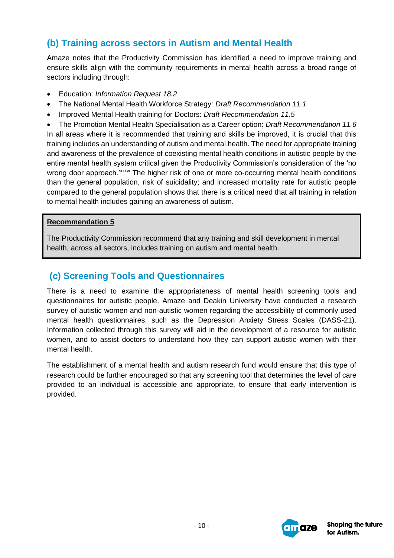## **(b) Training across sectors in Autism and Mental Health**

Amaze notes that the Productivity Commission has identified a need to improve training and ensure skills align with the community requirements in mental health across a broad range of sectors including through:

- Education: *Information Request 18.2*
- The National Mental Health Workforce Strategy*: Draft Recommendation 11.1*
- Improved Mental Health training for Doctors: *Draft Recommendation 11.5*

 The Promotion Mental Health Specialisation as a Career option: *Draft Recommendation 11.6* In all areas where it is recommended that training and skills be improved, it is crucial that this training includes an understanding of autism and mental health. The need for appropriate training and awareness of the prevalence of coexisting mental health conditions in autistic people by the entire mental health system critical given the Productivity Commission's consideration of the 'no wrong door approach.'<sup>xxxvi</sup> The higher risk of one or more co-occurring mental health conditions than the general population, risk of suicidality; and increased mortality rate for autistic people compared to the general population shows that there is a critical need that all training in relation to mental health includes gaining an awareness of autism.

#### **Recommendation 5**

The Productivity Commission recommend that any training and skill development in mental health, across all sectors, includes training on autism and mental health.

## **(c) Screening Tools and Questionnaires**

There is a need to examine the appropriateness of mental health screening tools and questionnaires for autistic people. Amaze and Deakin University have conducted a research survey of autistic women and non-autistic women regarding the accessibility of commonly used mental health questionnaires, such as the Depression Anxiety Stress Scales (DASS-21). Information collected through this survey will aid in the development of a resource for autistic women, and to assist doctors to understand how they can support autistic women with their mental health.

The establishment of a mental health and autism research fund would ensure that this type of research could be further encouraged so that any screening tool that determines the level of care provided to an individual is accessible and appropriate, to ensure that early intervention is provided.

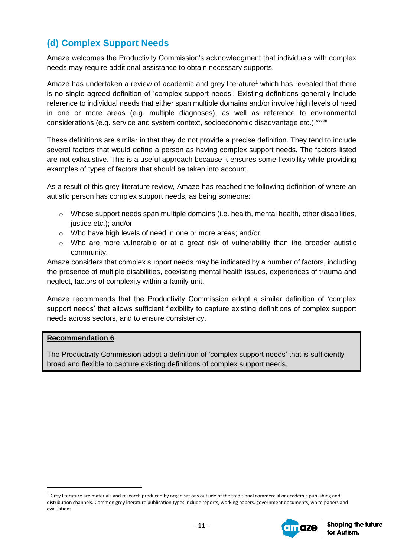## **(d) Complex Support Needs**

Amaze welcomes the Productivity Commission's acknowledgment that individuals with complex needs may require additional assistance to obtain necessary supports.

Amaze has undertaken a review of academic and grey literature<sup>1</sup> which has revealed that there is no single agreed definition of 'complex support needs'. Existing definitions generally include reference to individual needs that either span multiple domains and/or involve high levels of need in one or more areas (e.g. multiple diagnoses), as well as reference to environmental considerations (e.g. service and system context, socioeconomic disadvantage etc.).<sup>xxxvii</sup>

These definitions are similar in that they do not provide a precise definition. They tend to include several factors that would define a person as having complex support needs. The factors listed are not exhaustive. This is a useful approach because it ensures some flexibility while providing examples of types of factors that should be taken into account.

As a result of this grey literature review, Amaze has reached the following definition of where an autistic person has complex support needs, as being someone:

- $\circ$  Whose support needs span multiple domains (i.e. health, mental health, other disabilities, justice etc.); and/or
- o Who have high levels of need in one or more areas; and/or
- $\circ$  Who are more vulnerable or at a great risk of vulnerability than the broader autistic community.

Amaze considers that complex support needs may be indicated by a number of factors, including the presence of multiple disabilities, coexisting mental health issues, experiences of trauma and neglect, factors of complexity within a family unit.

Amaze recommends that the Productivity Commission adopt a similar definition of 'complex support needs' that allows sufficient flexibility to capture existing definitions of complex support needs across sectors, and to ensure consistency.

#### **Recommendation 6**

 $\overline{a}$ 

The Productivity Commission adopt a definition of 'complex support needs' that is sufficiently broad and flexible to capture existing definitions of complex support needs.

 $1$  Grey literature are materials and research produced by organisations outside of the traditional commercial or academic publishing and distribution channels. Common grey literature publication types include reports, working papers, government documents, white papers and evaluations

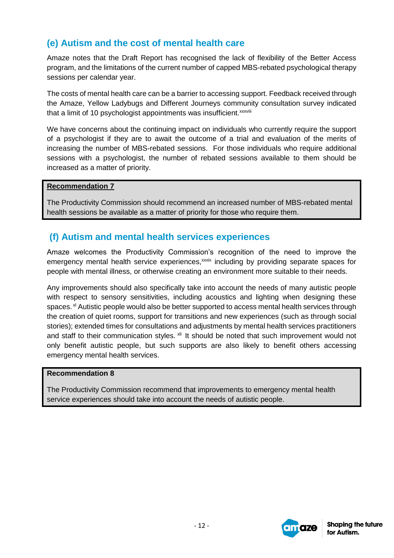## **(e) Autism and the cost of mental health care**

Amaze notes that the Draft Report has recognised the lack of flexibility of the Better Access program, and the limitations of the current number of capped MBS-rebated psychological therapy sessions per calendar year.

The costs of mental health care can be a barrier to accessing support. Feedback received through the Amaze, Yellow Ladybugs and Different Journeys community consultation survey indicated that a limit of 10 psychologist appointments was insufficient.<sup>xxxviii</sup>

We have concerns about the continuing impact on individuals who currently require the support of a psychologist if they are to await the outcome of a trial and evaluation of the merits of increasing the number of MBS-rebated sessions. For those individuals who require additional sessions with a psychologist, the number of rebated sessions available to them should be increased as a matter of priority.

#### **Recommendation 7**

The Productivity Commission should recommend an increased number of MBS-rebated mental health sessions be available as a matter of priority for those who require them.

## **(f) Autism and mental health services experiences**

Amaze welcomes the Productivity Commission's recognition of the need to improve the emergency mental health service experiences,<sup>xxxix</sup> including by providing separate spaces for people with mental illness, or otherwise creating an environment more suitable to their needs.

Any improvements should also specifically take into account the needs of many autistic people with respect to sensory sensitivities, including acoustics and lighting when designing these spaces. <sup>x</sup> Autistic people would also be better supported to access mental health services through the creation of quiet rooms, support for transitions and new experiences (such as through social stories); extended times for consultations and adjustments by mental health services practitioners and staff to their communication styles. <sup>xii</sup> It should be noted that such improvement would not only benefit autistic people, but such supports are also likely to benefit others accessing emergency mental health services.

#### **Recommendation 8**

The Productivity Commission recommend that improvements to emergency mental health service experiences should take into account the needs of autistic people.

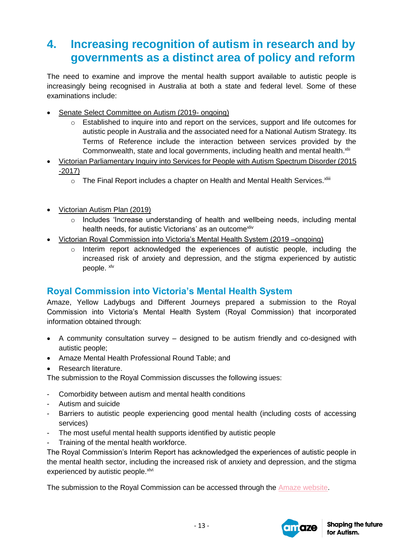# **4. Increasing recognition of autism in research and by governments as a distinct area of policy and reform**

The need to examine and improve the mental health support available to autistic people is increasingly being recognised in Australia at both a state and federal level. Some of these examinations include:

- Senate Select Committee on Autism (2019- ongoing)
	- o Established to inquire into and report on the services, support and life outcomes for autistic people in Australia and the associated need for a National Autism Strategy. Its Terms of Reference include the interaction between services provided by the Commonwealth, state and local governments, including health and mental health.<sup>xlii</sup>
- Victorian Parliamentary Inquiry into Services for People with Autism Spectrum Disorder (2015 -2017)
	- $\circ$  The Final Report includes a chapter on Health and Mental Health Services.<sup>xliii</sup>
- Victorian Autism Plan (2019)
	- o Includes 'Increase understanding of health and wellbeing needs, including mental health needs, for autistic Victorians' as an outcome<sup>xliv</sup>
- Victorian Royal Commission into Victoria's Mental Health System (2019 –ongoing)
	- o Interim report acknowledged the experiences of autistic people, including the increased risk of anxiety and depression, and the stigma experienced by autistic people. xlv

## **Royal Commission into Victoria's Mental Health System**

Amaze, Yellow Ladybugs and Different Journeys prepared a submission to the Royal Commission into Victoria's Mental Health System (Royal Commission) that incorporated information obtained through:

- A community consultation survey designed to be autism friendly and co-designed with autistic people;
- Amaze Mental Health Professional Round Table; and
- Research literature.

The submission to the Royal Commission discusses the following issues:

- Comorbidity between autism and mental health conditions
- Autism and suicide
- Barriers to autistic people experiencing good mental health (including costs of accessing services)
- The most useful mental health supports identified by autistic people
- Training of the mental health workforce.

The Royal Commission's Interim Report has acknowledged the experiences of autistic people in the mental health sector, including the increased risk of anxiety and depression, and the stigma experienced by autistic people. xlvi

The submission to the Royal Commission can be accessed through the [Amaze website.](https://www.amaze.org.au/wp-content/uploads/2019/09/Amaze-Yellow-Ladybugs-Different-Journeys-Submision-RCVMHS.pdf)

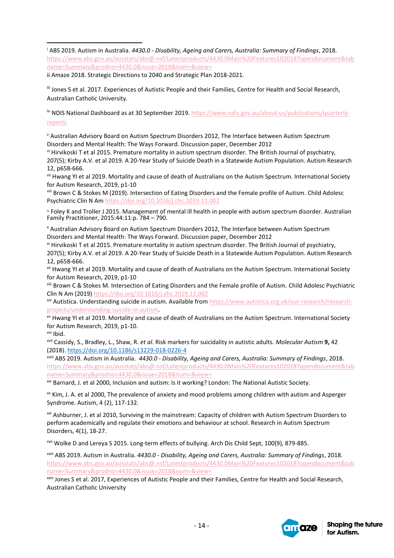<sup>i</sup> ABS 2019. Autism in Australia. *4430.0 - Disability, Ageing and Carers, Australia: Summary of Findings*, 2018. [https://www.abs.gov.au/ausstats/abs@.nsf/Latestproducts/4430.0Main%20Features102018?opendocument&tab](https://www.abs.gov.au/ausstats/abs@.nsf/Latestproducts/4430.0Main%20Features102018?opendocument&tabname=Summary&prodno=4430.0&issue=2018&num=&view=%20) [name=Summary&prodno=4430.0&issue=2018&num=&view=](https://www.abs.gov.au/ausstats/abs@.nsf/Latestproducts/4430.0Main%20Features102018?opendocument&tabname=Summary&prodno=4430.0&issue=2018&num=&view=%20)  $\overline{a}$ 

ii Amaze 2018. Strategic Directions to 2040 and Strategic Plan 2018-2021.

iii Jones S et al. 2017. Experiences of Autistic People and their Families, Centre for Health and Social Research, Australian Catholic University.

iv NDIS National Dashboard as at 30 September 2019. [https://www.ndis.gov.au/about-us/publications/quarterly](https://www.ndis.gov.au/about-us/publications/quarterly-reports)[reports](https://www.ndis.gov.au/about-us/publications/quarterly-reports)

<sup>v</sup> Australian Advisory Board on Autism Spectrum Disorders 2012, The Interface between Autism Spectrum Disorders and Mental Health: The Ways Forward. Discussion paper, December 2012

vi Hirvikoski T et al 2015. Premature mortality in autism spectrum disorder. The British Journal of psychiatry, 207(5); Kirby A.V. et al 2019. A 20-Year Study of Suicide Death in a Statewide Autism Population. Autism Research 12, p658-666.

vii Hwang YI et al 2019. Mortality and cause of death of Australians on the Autism Spectrum. International Society for Autism Research, 2019, p1-10

viii Brown C & Stokes M (2019). Intersection of Eating Disorders and the Female profile of Autism. Child Adolesc Psychiatric Clin N Am<https://doi.org/10.1016/j.chc.2019.11.002>

ix Foley K and Troller J 2015. Management of mental ill health in people with autism spectrum disorder. Australian Family Practitioner, 2015:44:11:p. 784 – 790.

<sup>x</sup> Australian Advisory Board on Autism Spectrum Disorders 2012, The Interface between Autism Spectrum Disorders and Mental Health: The Ways Forward. Discussion paper, December 2012

xi Hirvikoski T et al 2015. Premature mortality in autism spectrum disorder. The British Journal of psychiatry, 207(5); Kirby A.V. et al 2019. A 20-Year Study of Suicide Death in a Statewide Autism Population. Autism Research 12, p658-666.

xii Hwang YI et al 2019. Mortality and cause of death of Australians on the Autism Spectrum. International Society for Autism Research, 2019, p1-10

xiii Brown C & Stokes M. Intersection of Eating Disorders and the Female profile of Autism. Child Adolesc Psychiatric Clin N Am (2019) <https://doi.org/10.1016/j.chc.2019.11.002>

xiv Autistica. Understanding suicide in autism. Available from [https://www.autistica.org.uk/our-research/research](https://www.autistica.org.uk/our-research/research-projects/understanding-suicide-in-autism)[projects/understanding-suicide-in-autism.](https://www.autistica.org.uk/our-research/research-projects/understanding-suicide-in-autism)

xv Hwang YI et al 2019. Mortality and cause of death of Australians on the Autism Spectrum. International Society for Autism Research, 2019, p1-10.

xvi Ibid.

xvii Cassidy, S., Bradley, L., Shaw, R. *et al.* Risk markers for suicidality in autistic adults. *Molecular Autism* **9,** 42 (2018).<https://doi.org/10.1186/s13229-018-0226-4>

xviii ABS 2019. Autism in Australia. *4430.0 - Disability, Ageing and Carers, Australia: Summary of Findings*, 2018. [https://www.abs.gov.au/ausstats/abs@.nsf/Latestproducts/4430.0Main%20Features102018?opendocument&tab](https://www.abs.gov.au/ausstats/abs@.nsf/Latestproducts/4430.0Main%20Features102018?opendocument&tabname=Summary&prodno=4430.0&issue=2018&num=&view=%20) [name=Summary&prodno=4430.0&issue=2018&num=&view=](https://www.abs.gov.au/ausstats/abs@.nsf/Latestproducts/4430.0Main%20Features102018?opendocument&tabname=Summary&prodno=4430.0&issue=2018&num=&view=%20)

xix Barnard, J. et al 2000, Inclusion and autism: Is it working? London: The National Autistic Society.

<sup>xx</sup> Kim, J. A. et al 2000, The prevalence of anxiety and mood problems among children with autism and Asperger Syndrome. Autism, 4 (2), 117-132.

<sup>xxi</sup> Ashburner, J. et al 2010, Surviving in the mainstream: Capacity of children with Autism Spectrum Disorders to perform academically and regulate their emotions and behaviour at school. Research in Autism Spectrum Disorders, 4(1), 18-27.

xxii Wolke D and Lereya S 2015. Long-term effects of bullying. Arch Dis Child Sept, 100(9), 879-885.

xxiii ABS 2019. Autism in Australia. *4430.0 - Disability, Ageing and Carers, Australia: Summary of Findings*, 2018. [https://www.abs.gov.au/ausstats/abs@.nsf/Latestproducts/4430.0Main%20Features102018?opendocument&tab](https://www.abs.gov.au/ausstats/abs@.nsf/Latestproducts/4430.0Main%20Features102018?opendocument&tabname=Summary&prodno=4430.0&issue=2018&num=&view=%20) [name=Summary&prodno=4430.0&issue=2018&num=&view=](https://www.abs.gov.au/ausstats/abs@.nsf/Latestproducts/4430.0Main%20Features102018?opendocument&tabname=Summary&prodno=4430.0&issue=2018&num=&view=%20)

xxiv Jones S et al. 2017, Experiences of Autistic People and their Families, Centre for Health and Social Research, Australian Catholic University